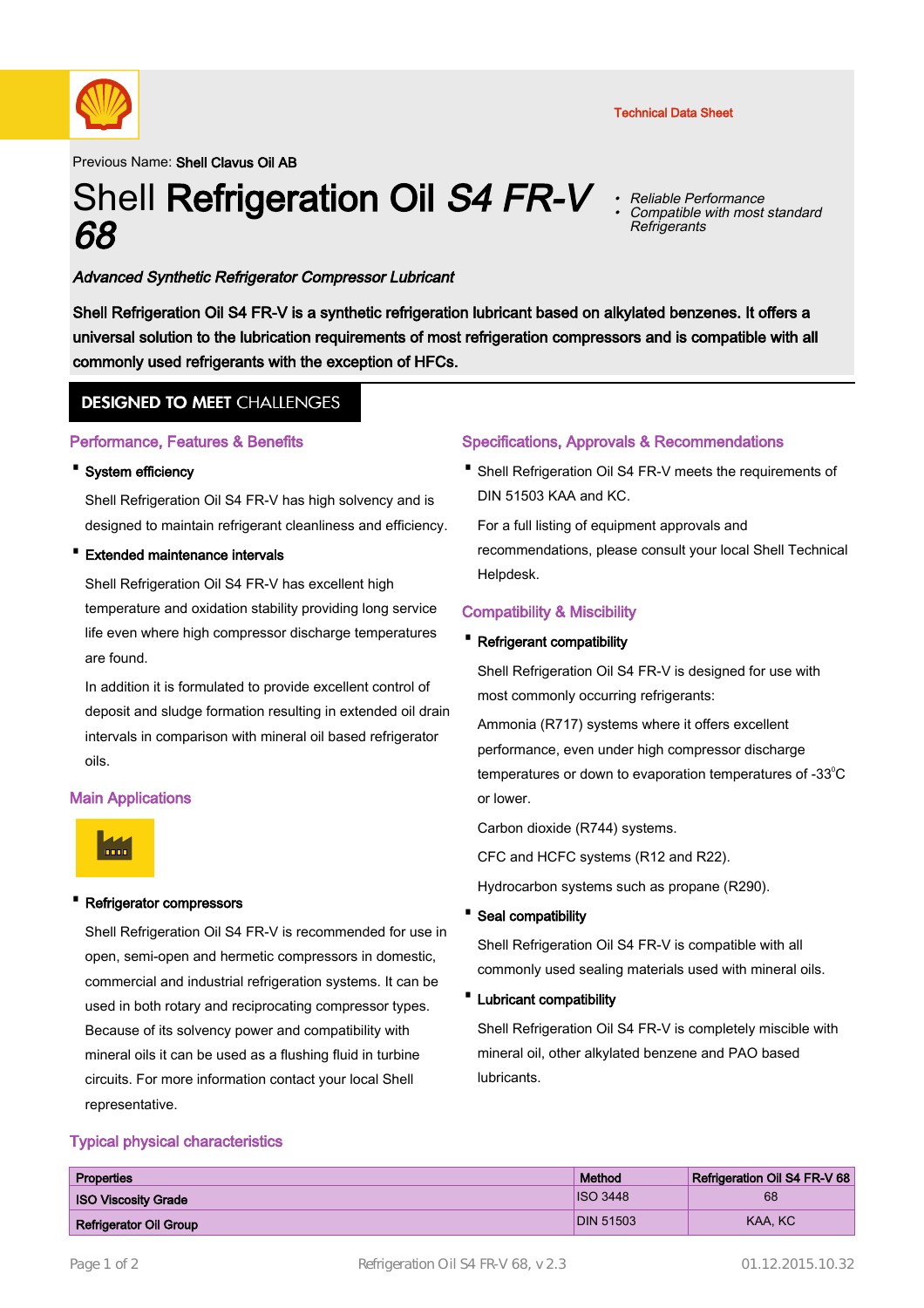

Previous Name: Shell Clavus Oil AB

# Shell Refrigeration Oil S4 FR-V 68

• Reliable Performance Compatible with most standard • **Refrigerants** 

# Advanced Synthetic Refrigerator Compressor Lubricant

Shell Refrigeration Oil S4 FR-V is a synthetic refrigeration lubricant based on alkylated benzenes. It offers a universal solution to the lubrication requirements of most refrigeration compressors and is compatible with all commonly used refrigerants with the exception of HFCs.

# **DESIGNED TO MEET CHALLENGES**

## Performance, Features & Benefits

#### · System efficiency

Shell Refrigeration Oil S4 FR-V has high solvency and is designed to maintain refrigerant cleanliness and efficiency.

· Extended maintenance intervals

Shell Refrigeration Oil S4 FR-V has excellent high temperature and oxidation stability providing long service life even where high compressor discharge temperatures are found.

In addition it is formulated to provide excellent control of deposit and sludge formation resulting in extended oil drain intervals in comparison with mineral oil based refrigerator oils.

## Main Applications



## Refrigerator compressors

Shell Refrigeration Oil S4 FR-V is recommended for use in open, semi-open and hermetic compressors in domestic, commercial and industrial refrigeration systems. It can be used in both rotary and reciprocating compressor types. Because of its solvency power and compatibility with mineral oils it can be used as a flushing fluid in turbine circuits. For more information contact your local Shell representative.

## Typical physical characteristics

## Specifications, Approvals & Recommendations

• Shell Refrigeration Oil S4 FR-V meets the requirements of DIN 51503 KAA and KC.

For a full listing of equipment approvals and recommendations, please consult your local Shell Technical Helpdesk.

## Compatibility & Miscibility

#### **Refrigerant compatibility**

Shell Refrigeration Oil S4 FR-V is designed for use with most commonly occurring refrigerants:

Ammonia (R717) systems where it offers excellent performance, even under high compressor discharge temperatures or down to evaporation temperatures of  $-33^{\circ}$ C or lower.

Carbon dioxide (R744) systems.

CFC and HCFC systems (R12 and R22).

Hydrocarbon systems such as propane (R290).

· Seal compatibility

Shell Refrigeration Oil S4 FR-V is compatible with all commonly used sealing materials used with mineral oils.

· Lubricant compatibility

Shell Refrigeration Oil S4 FR-V is completely miscible with mineral oil, other alkylated benzene and PAO based lubricants.

| Properties                    | Method           | Refrigeration Oil S4 FR-V 68 |
|-------------------------------|------------------|------------------------------|
| <b>ISO Viscosity Grade</b>    | <b>ISO 3448</b>  | 68                           |
| <b>Refrigerator Oil Group</b> | <b>DIN 51503</b> | KAA, KC                      |